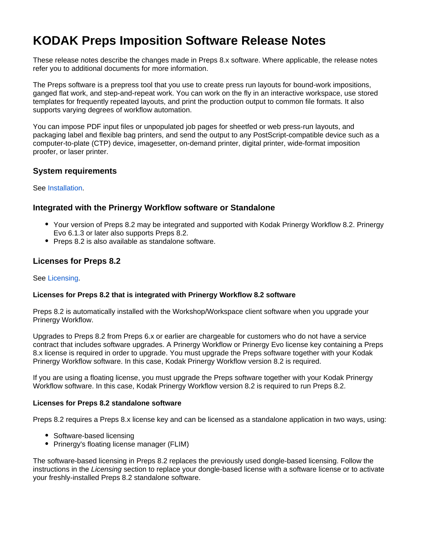# **KODAK Preps Imposition Software Release Notes**

These release notes describe the changes made in Preps 8.x software. Where applicable, the release notes refer you to additional documents for more information.

The Preps software is a prepress tool that you use to create press run layouts for bound-work impositions, ganged flat work, and step-and-repeat work. You can work on the fly in an interactive workspace, use stored templates for frequently repeated layouts, and print the production output to common file formats. It also supports varying degrees of workflow automation.

You can impose PDF input files or unpopulated job pages for sheetfed or web press-run layouts, and packaging label and flexible bag printers, and send the output to any PostScript-compatible device such as a computer-to-plate (CTP) device, imagesetter, on-demand printer, digital printer, wide-format imposition proofer, or laser printer.

## **System requirements**

See [Installation.](https://workflowhelp.kodak.com/display/PREPS82/Installation)

## **Integrated with the Prinergy Workflow software or Standalone**

- Your version of Preps 8.2 may be integrated and supported with Kodak Prinergy Workflow 8.2. Prinergy Evo 6.1.3 or later also supports Preps 8.2.
- Preps 8.2 is also available as standalone software.

# **Licenses for Preps 8.2**

## See [Licensing.](https://workflowhelp.kodak.com/display/PREPS82/Licensing)

## **Licenses for Preps 8.2 that is integrated with Prinergy Workflow 8.2 software**

Preps 8.2 is automatically installed with the Workshop/Workspace client software when you upgrade your Prinergy Workflow.

Upgrades to Preps 8.2 from Preps 6.x or earlier are chargeable for customers who do not have a service contract that includes software upgrades. A Prinergy Workflow or Prinergy Evo license key containing a Preps 8.x license is required in order to upgrade. You must upgrade the Preps software together with your Kodak Prinergy Workflow software. In this case, Kodak Prinergy Workflow version 8.2 is required.

If you are using a floating license, you must upgrade the Preps software together with your Kodak Prinergy Workflow software. In this case, Kodak Prinergy Workflow version 8.2 is required to run Preps 8.2.

## **Licenses for Preps 8.2 standalone software**

Preps 8.2 requires a Preps 8.x license key and can be licensed as a standalone application in two ways, using:

- Software-based licensing
- Prinergy's floating license manager (FLIM)

The software-based licensing in Preps 8.2 replaces the previously used dongle-based licensing. Follow the instructions in the Licensing section to replace your dongle-based license with a software license or to activate your freshly-installed Preps 8.2 standalone software.